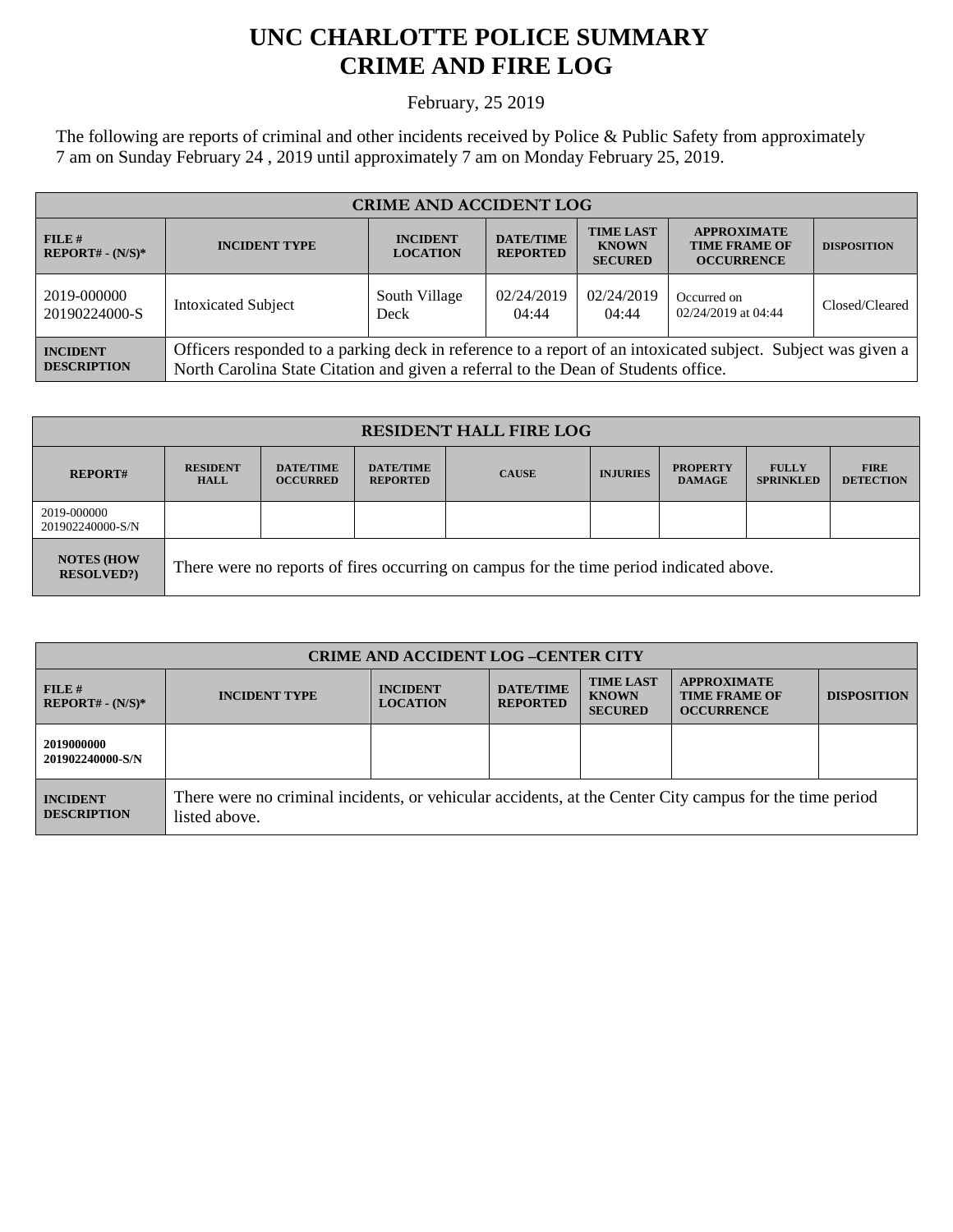## **UNC CHARLOTTE POLICE SUMMARY CRIME AND FIRE LOG**

February, 25 2019

The following are reports of criminal and other incidents received by Police & Public Safety from approximately 7 am on Sunday February 24 , 2019 until approximately 7 am on Monday February 25, 2019.

| <b>CRIME AND ACCIDENT LOG</b>         |                                                                                                                                                                                                    |                                    |                                     |                                                    |                                                                 |                    |
|---------------------------------------|----------------------------------------------------------------------------------------------------------------------------------------------------------------------------------------------------|------------------------------------|-------------------------------------|----------------------------------------------------|-----------------------------------------------------------------|--------------------|
| $FILE$ #<br>$REPORT# - (N/S)*$        | <b>INCIDENT TYPE</b>                                                                                                                                                                               | <b>INCIDENT</b><br><b>LOCATION</b> | <b>DATE/TIME</b><br><b>REPORTED</b> | <b>TIME LAST</b><br><b>KNOWN</b><br><b>SECURED</b> | <b>APPROXIMATE</b><br><b>TIME FRAME OF</b><br><b>OCCURRENCE</b> | <b>DISPOSITION</b> |
| 2019-000000<br>20190224000-S          | <b>Intoxicated Subject</b>                                                                                                                                                                         | South Village<br>Deck              | 02/24/2019<br>04:44                 | 02/24/2019<br>04:44                                | Occurred on<br>02/24/2019 at 04:44                              | Closed/Cleared     |
| <b>INCIDENT</b><br><b>DESCRIPTION</b> | Officers responded to a parking deck in reference to a report of an intoxicated subject. Subject was given a<br>North Carolina State Citation and given a referral to the Dean of Students office. |                                    |                                     |                                                    |                                                                 |                    |

| <b>RESIDENT HALL FIRE LOG</b>           |                                                                                         |                                     |                                     |              |                 |                                  |                                  |                                 |
|-----------------------------------------|-----------------------------------------------------------------------------------------|-------------------------------------|-------------------------------------|--------------|-----------------|----------------------------------|----------------------------------|---------------------------------|
| <b>REPORT#</b>                          | <b>RESIDENT</b><br>HALL                                                                 | <b>DATE/TIME</b><br><b>OCCURRED</b> | <b>DATE/TIME</b><br><b>REPORTED</b> | <b>CAUSE</b> | <b>INJURIES</b> | <b>PROPERTY</b><br><b>DAMAGE</b> | <b>FULLY</b><br><b>SPRINKLED</b> | <b>FIRE</b><br><b>DETECTION</b> |
| 2019-000000<br>201902240000-S/N         |                                                                                         |                                     |                                     |              |                 |                                  |                                  |                                 |
| <b>NOTES (HOW)</b><br><b>RESOLVED?)</b> | There were no reports of fires occurring on campus for the time period indicated above. |                                     |                                     |              |                 |                                  |                                  |                                 |

| <b>CRIME AND ACCIDENT LOG-CENTER CITY</b> |                                                                                                                          |                                    |                                     |                                                    |                                                                 |                    |
|-------------------------------------------|--------------------------------------------------------------------------------------------------------------------------|------------------------------------|-------------------------------------|----------------------------------------------------|-----------------------------------------------------------------|--------------------|
| FILE H<br>$REPORT# - (N/S)*$              | <b>INCIDENT TYPE</b>                                                                                                     | <b>INCIDENT</b><br><b>LOCATION</b> | <b>DATE/TIME</b><br><b>REPORTED</b> | <b>TIME LAST</b><br><b>KNOWN</b><br><b>SECURED</b> | <b>APPROXIMATE</b><br><b>TIME FRAME OF</b><br><b>OCCURRENCE</b> | <b>DISPOSITION</b> |
| 2019000000<br>201902240000-S/N            |                                                                                                                          |                                    |                                     |                                                    |                                                                 |                    |
| <b>INCIDENT</b><br><b>DESCRIPTION</b>     | There were no criminal incidents, or vehicular accidents, at the Center City campus for the time period<br>listed above. |                                    |                                     |                                                    |                                                                 |                    |